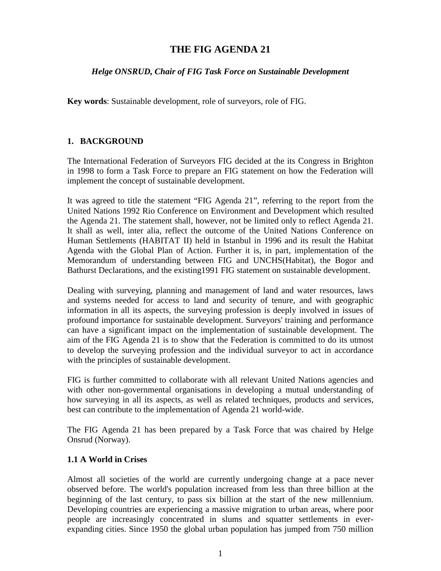# **THE FIG AGENDA 21**

### *Helge ONSRUD, Chair of FIG Task Force on Sustainable Development*

**Key words**: Sustainable development, role of surveyors, role of FIG.

### **1. BACKGROUND**

The International Federation of Surveyors FIG decided at the its Congress in Brighton in 1998 to form a Task Force to prepare an FIG statement on how the Federation will implement the concept of sustainable development.

It was agreed to title the statement "FIG Agenda 21", referring to the report from the United Nations 1992 Rio Conference on Environment and Development which resulted the Agenda 21. The statement shall, however, not be limited only to reflect Agenda 21. It shall as well, inter alia, reflect the outcome of the United Nations Conference on Human Settlements (HABITAT II) held in Istanbul in 1996 and its result the Habitat Agenda with the Global Plan of Action. Further it is, in part, implementation of the Memorandum of understanding between FIG and UNCHS(Habitat), the Bogor and Bathurst Declarations, and the existing1991 FIG statement on sustainable development.

Dealing with surveying, planning and management of land and water resources, laws and systems needed for access to land and security of tenure, and with geographic information in all its aspects, the surveying profession is deeply involved in issues of profound importance for sustainable development. Surveyors' training and performance can have a significant impact on the implementation of sustainable development. The aim of the FIG Agenda 21 is to show that the Federation is committed to do its utmost to develop the surveying profession and the individual surveyor to act in accordance with the principles of sustainable development.

FIG is further committed to collaborate with all relevant United Nations agencies and with other non-governmental organisations in developing a mutual understanding of how surveying in all its aspects, as well as related techniques, products and services, best can contribute to the implementation of Agenda 21 world-wide.

The FIG Agenda 21 has been prepared by a Task Force that was chaired by Helge Onsrud (Norway).

### **1.1 A World in Crises**

Almost all societies of the world are currently undergoing change at a pace never observed before. The world's population increased from less than three billion at the beginning of the last century, to pass six billion at the start of the new millennium. Developing countries are experiencing a massive migration to urban areas, where poor people are increasingly concentrated in slums and squatter settlements in everexpanding cities. Since 1950 the global urban population has jumped from 750 million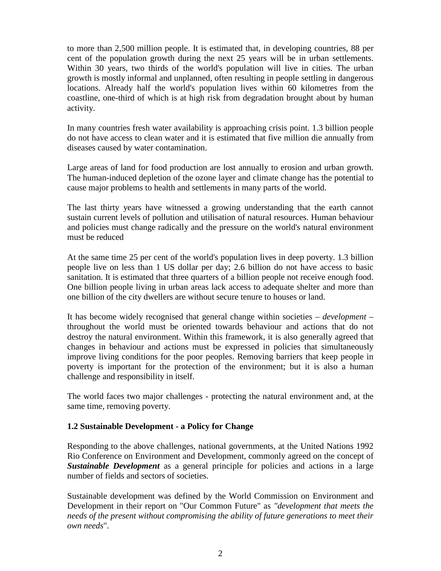to more than 2,500 million people. It is estimated that, in developing countries, 88 per cent of the population growth during the next 25 years will be in urban settlements. Within 30 years, two thirds of the world's population will live in cities. The urban growth is mostly informal and unplanned, often resulting in people settling in dangerous locations. Already half the world's population lives within 60 kilometres from the coastline, one-third of which is at high risk from degradation brought about by human activity.

In many countries fresh water availability is approaching crisis point. 1.3 billion people do not have access to clean water and it is estimated that five million die annually from diseases caused by water contamination.

Large areas of land for food production are lost annually to erosion and urban growth. The human-induced depletion of the ozone layer and climate change has the potential to cause major problems to health and settlements in many parts of the world.

The last thirty years have witnessed a growing understanding that the earth cannot sustain current levels of pollution and utilisation of natural resources. Human behaviour and policies must change radically and the pressure on the world's natural environment must be reduced

At the same time 25 per cent of the world's population lives in deep poverty. 1.3 billion people live on less than 1 US dollar per day; 2.6 billion do not have access to basic sanitation. It is estimated that three quarters of a billion people not receive enough food. One billion people living in urban areas lack access to adequate shelter and more than one billion of the city dwellers are without secure tenure to houses or land.

It has become widely recognised that general change within societies – *development –* throughout the world must be oriented towards behaviour and actions that do not destroy the natural environment. Within this framework, it is also generally agreed that changes in behaviour and actions must be expressed in policies that simultaneously improve living conditions for the poor peoples. Removing barriers that keep people in poverty is important for the protection of the environment; but it is also a human challenge and responsibility in itself.

The world faces two major challenges - protecting the natural environment and, at the same time, removing poverty.

### **1.2 Sustainable Development - a Policy for Change**

Responding to the above challenges, national governments, at the United Nations 1992 Rio Conference on Environment and Development, commonly agreed on the concept of *Sustainable Development* as a general principle for policies and actions in a large number of fields and sectors of societies.

Sustainable development was defined by the World Commission on Environment and Development in their report on "Our Common Future" as *"development that meets the needs of the present without compromising the ability of future generations to meet their own needs*".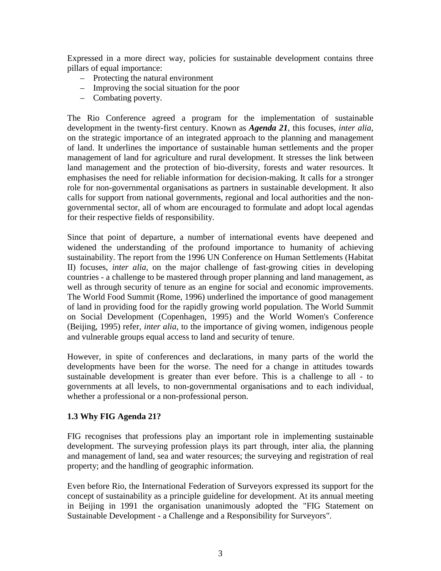Expressed in a more direct way, policies for sustainable development contains three pillars of equal importance:

- Protecting the natural environment
- Improving the social situation for the poor
- Combating poverty.

The Rio Conference agreed a program for the implementation of sustainable development in the twenty-first century. Known as *Agenda 21*, this focuses, *inter alia*, on the strategic importance of an integrated approach to the planning and management of land. It underlines the importance of sustainable human settlements and the proper management of land for agriculture and rural development. It stresses the link between land management and the protection of bio-diversity, forests and water resources. It emphasises the need for reliable information for decision-making. It calls for a stronger role for non-governmental organisations as partners in sustainable development. It also calls for support from national governments, regional and local authorities and the nongovernmental sector, all of whom are encouraged to formulate and adopt local agendas for their respective fields of responsibility.

Since that point of departure, a number of international events have deepened and widened the understanding of the profound importance to humanity of achieving sustainability. The report from the 1996 UN Conference on Human Settlements (Habitat II) focuses, *inter alia,* on the major challenge of fast-growing cities in developing countries - a challenge to be mastered through proper planning and land management, as well as through security of tenure as an engine for social and economic improvements. The World Food Summit (Rome, 1996) underlined the importance of good management of land in providing food for the rapidly growing world population. The World Summit on Social Development (Copenhagen, 1995) and the World Women's Conference (Beijing, 1995) refer, *inter alia*, to the importance of giving women, indigenous people and vulnerable groups equal access to land and security of tenure.

However, in spite of conferences and declarations, in many parts of the world the developments have been for the worse. The need for a change in attitudes towards sustainable development is greater than ever before. This is a challenge to all - to governments at all levels, to non-governmental organisations and to each individual, whether a professional or a non-professional person.

### **1.3 Why FIG Agenda 21?**

FIG recognises that professions play an important role in implementing sustainable development. The surveying profession plays its part through, inter alia, the planning and management of land, sea and water resources; the surveying and registration of real property; and the handling of geographic information.

Even before Rio, the International Federation of Surveyors expressed its support for the concept of sustainability as a principle guideline for development. At its annual meeting in Beijing in 1991 the organisation unanimously adopted the "FIG Statement on Sustainable Development - a Challenge and a Responsibility for Surveyors".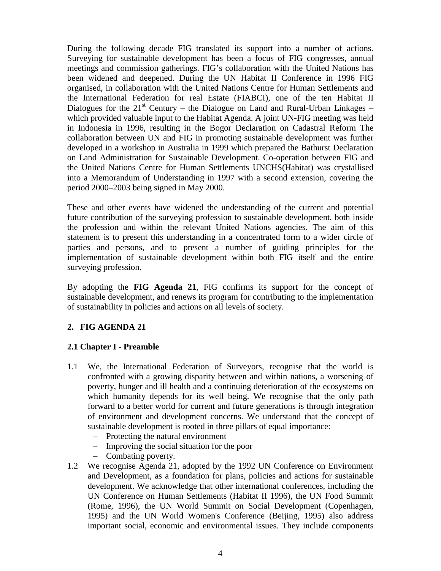During the following decade FIG translated its support into a number of actions. Surveying for sustainable development has been a focus of FIG congresses, annual meetings and commission gatherings. FIG's collaboration with the United Nations has been widened and deepened. During the UN Habitat II Conference in 1996 FIG organised, in collaboration with the United Nations Centre for Human Settlements and the International Federation for real Estate (FIABCI), one of the ten Habitat II Dialogues for the  $21<sup>st</sup>$  Century – the Dialogue on Land and Rural-Urban Linkages – which provided valuable input to the Habitat Agenda. A joint UN-FIG meeting was held in Indonesia in 1996, resulting in the Bogor Declaration on Cadastral Reform The collaboration between UN and FIG in promoting sustainable development was further developed in a workshop in Australia in 1999 which prepared the Bathurst Declaration on Land Administration for Sustainable Development. Co-operation between FIG and the United Nations Centre for Human Settlements UNCHS(Habitat) was crystallised into a Memorandum of Understanding in 1997 with a second extension, covering the period 2000–2003 being signed in May 2000.

These and other events have widened the understanding of the current and potential future contribution of the surveying profession to sustainable development, both inside the profession and within the relevant United Nations agencies. The aim of this statement is to present this understanding in a concentrated form to a wider circle of parties and persons, and to present a number of guiding principles for the implementation of sustainable development within both FIG itself and the entire surveying profession.

By adopting the **FIG Agenda 21**, FIG confirms its support for the concept of sustainable development, and renews its program for contributing to the implementation of sustainability in policies and actions on all levels of society.

## **2. FIG AGENDA 21**

## **2.1 Chapter I - Preamble**

- 1.1 We, the International Federation of Surveyors, recognise that the world is confronted with a growing disparity between and within nations, a worsening of poverty, hunger and ill health and a continuing deterioration of the ecosystems on which humanity depends for its well being. We recognise that the only path forward to a better world for current and future generations is through integration of environment and development concerns. We understand that the concept of sustainable development is rooted in three pillars of equal importance:
	- Protecting the natural environment
	- Improving the social situation for the poor
	- Combating poverty.
- 1.2 We recognise Agenda 21, adopted by the 1992 UN Conference on Environment and Development, as a foundation for plans, policies and actions for sustainable development. We acknowledge that other international conferences, including the UN Conference on Human Settlements (Habitat II 1996), the UN Food Summit (Rome, 1996), the UN World Summit on Social Development (Copenhagen, 1995) and the UN World Women's Conference (Beijing, 1995) also address important social, economic and environmental issues. They include components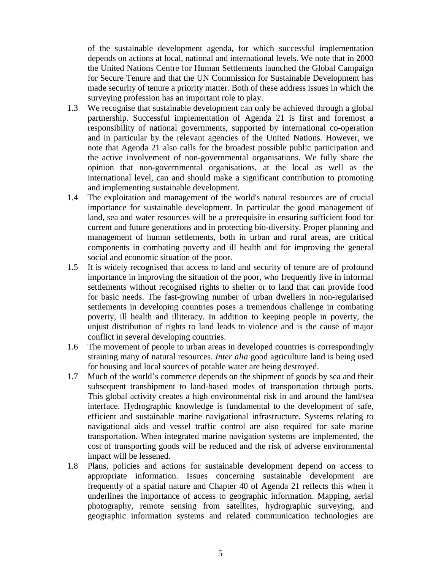of the sustainable development agenda, for which successful implementation depends on actions at local, national and international levels. We note that in 2000 the United Nations Centre for Human Settlements launched the Global Campaign for Secure Tenure and that the UN Commission for Sustainable Development has made security of tenure a priority matter. Both of these address issues in which the surveying profession has an important role to play.

- 1.3 We recognise that sustainable development can only be achieved through a global partnership. Successful implementation of Agenda 21 is first and foremost a responsibility of national governments, supported by international co-operation and in particular by the relevant agencies of the United Nations. However, we note that Agenda 21 also calls for the broadest possible public participation and the active involvement of non-governmental organisations. We fully share the opinion that non-governmental organisations, at the local as well as the international level, can and should make a significant contribution to promoting and implementing sustainable development.
- 1.4 The exploitation and management of the world's natural resources are of crucial importance for sustainable development. In particular the good management of land, sea and water resources will be a prerequisite in ensuring sufficient food for current and future generations and in protecting bio-diversity. Proper planning and management of human settlements, both in urban and rural areas, are critical components in combating poverty and ill health and for improving the general social and economic situation of the poor.
- 1.5 It is widely recognised that access to land and security of tenure are of profound importance in improving the situation of the poor, who frequently live in informal settlements without recognised rights to shelter or to land that can provide food for basic needs. The fast-growing number of urban dwellers in non-regularised settlements in developing countries poses a tremendous challenge in combating poverty, ill health and illiteracy. In addition to keeping people in poverty, the unjust distribution of rights to land leads to violence and is the cause of major conflict in several developing countries.
- 1.6 The movement of people to urban areas in developed countries is correspondingly straining many of natural resources. *Inter alia* good agriculture land is being used for housing and local sources of potable water are being destroyed.
- 1.7 Much of the world's commerce depends on the shipment of goods by sea and their subsequent transhipment to land-based modes of transportation through ports. This global activity creates a high environmental risk in and around the land/sea interface. Hydrographic knowledge is fundamental to the development of safe, efficient and sustainable marine navigational infrastructure. Systems relating to navigational aids and vessel traffic control are also required for safe marine transportation. When integrated marine navigation systems are implemented, the cost of transporting goods will be reduced and the risk of adverse environmental impact will be lessened.
- 1.8 Plans, policies and actions for sustainable development depend on access to appropriate information. Issues concerning sustainable development are frequently of a spatial nature and Chapter 40 of Agenda 21 reflects this when it underlines the importance of access to geographic information. Mapping, aerial photography, remote sensing from satellites, hydrographic surveying, and geographic information systems and related communication technologies are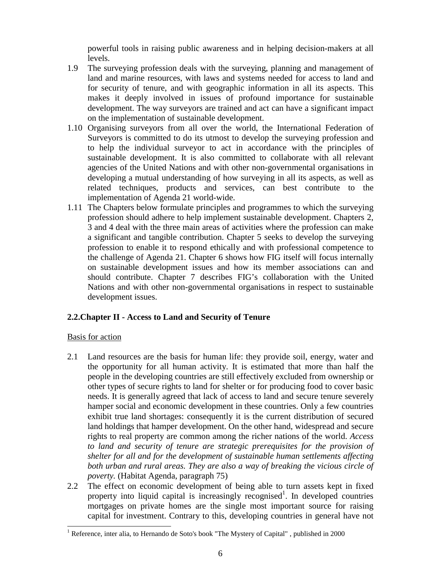powerful tools in raising public awareness and in helping decision-makers at all levels.

- 1.9 The surveying profession deals with the surveying, planning and management of land and marine resources, with laws and systems needed for access to land and for security of tenure, and with geographic information in all its aspects. This makes it deeply involved in issues of profound importance for sustainable development. The way surveyors are trained and act can have a significant impact on the implementation of sustainable development.
- 1.10 Organising surveyors from all over the world, the International Federation of Surveyors is committed to do its utmost to develop the surveying profession and to help the individual surveyor to act in accordance with the principles of sustainable development. It is also committed to collaborate with all relevant agencies of the United Nations and with other non-governmental organisations in developing a mutual understanding of how surveying in all its aspects, as well as related techniques, products and services, can best contribute to the implementation of Agenda 21 world-wide.
- 1.11 The Chapters below formulate principles and programmes to which the surveying profession should adhere to help implement sustainable development. Chapters 2, 3 and 4 deal with the three main areas of activities where the profession can make a significant and tangible contribution. Chapter 5 seeks to develop the surveying profession to enable it to respond ethically and with professional competence to the challenge of Agenda 21. Chapter 6 shows how FIG itself will focus internally on sustainable development issues and how its member associations can and should contribute. Chapter 7 describes FIG's collaboration with the United Nations and with other non-governmental organisations in respect to sustainable development issues.

### **2.2.Chapter II - Access to Land and Security of Tenure**

### Basis for action

 $\overline{a}$ 

- 2.1 Land resources are the basis for human life: they provide soil, energy, water and the opportunity for all human activity. It is estimated that more than half the people in the developing countries are still effectively excluded from ownership or other types of secure rights to land for shelter or for producing food to cover basic needs. It is generally agreed that lack of access to land and secure tenure severely hamper social and economic development in these countries. Only a few countries exhibit true land shortages: consequently it is the current distribution of secured land holdings that hamper development. On the other hand, widespread and secure rights to real property are common among the richer nations of the world. *Access to land and security of tenure are strategic prerequisites for the provision of shelter for all and for the development of sustainable human settlements affecting both urban and rural areas. They are also a way of breaking the vicious circle of poverty.* (Habitat Agenda, paragraph 75)
- 2.2 The effect on economic development of being able to turn assets kept in fixed property into liquid capital is increasingly recognised<sup>1</sup>. In developed countries mortgages on private homes are the single most important source for raising capital for investment. Contrary to this, developing countries in general have not

<sup>&</sup>lt;sup>1</sup> Reference, inter alia, to Hernando de Soto's book "The Mystery of Capital", published in 2000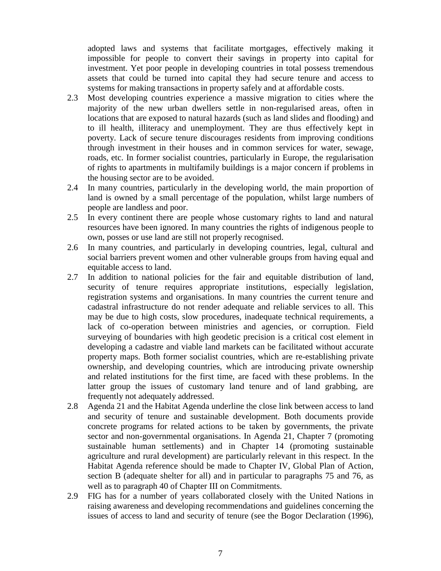adopted laws and systems that facilitate mortgages, effectively making it impossible for people to convert their savings in property into capital for investment. Yet poor people in developing countries in total possess tremendous assets that could be turned into capital they had secure tenure and access to systems for making transactions in property safely and at affordable costs.

- 2.3 Most developing countries experience a massive migration to cities where the majority of the new urban dwellers settle in non-regularised areas, often in locations that are exposed to natural hazards (such as land slides and flooding) and to ill health, illiteracy and unemployment. They are thus effectively kept in poverty. Lack of secure tenure discourages residents from improving conditions through investment in their houses and in common services for water, sewage, roads, etc. In former socialist countries, particularly in Europe, the regularisation of rights to apartments in multifamily buildings is a major concern if problems in the housing sector are to be avoided.
- 2.4 In many countries, particularly in the developing world, the main proportion of land is owned by a small percentage of the population, whilst large numbers of people are landless and poor.
- 2.5 In every continent there are people whose customary rights to land and natural resources have been ignored. In many countries the rights of indigenous people to own, posses or use land are still not properly recognised.
- 2.6 In many countries, and particularly in developing countries, legal, cultural and social barriers prevent women and other vulnerable groups from having equal and equitable access to land.
- 2.7 In addition to national policies for the fair and equitable distribution of land, security of tenure requires appropriate institutions, especially legislation, registration systems and organisations. In many countries the current tenure and cadastral infrastructure do not render adequate and reliable services to all. This may be due to high costs, slow procedures, inadequate technical requirements, a lack of co-operation between ministries and agencies, or corruption. Field surveying of boundaries with high geodetic precision is a critical cost element in developing a cadastre and viable land markets can be facilitated without accurate property maps. Both former socialist countries, which are re-establishing private ownership, and developing countries, which are introducing private ownership and related institutions for the first time, are faced with these problems. In the latter group the issues of customary land tenure and of land grabbing, are frequently not adequately addressed.
- 2.8 Agenda 21 and the Habitat Agenda underline the close link between access to land and security of tenure and sustainable development. Both documents provide concrete programs for related actions to be taken by governments, the private sector and non-governmental organisations. In Agenda 21, Chapter 7 (promoting sustainable human settlements) and in Chapter 14 (promoting sustainable agriculture and rural development) are particularly relevant in this respect. In the Habitat Agenda reference should be made to Chapter IV, Global Plan of Action, section B (adequate shelter for all) and in particular to paragraphs 75 and 76, as well as to paragraph 40 of Chapter III on Commitments.
- 2.9 FIG has for a number of years collaborated closely with the United Nations in raising awareness and developing recommendations and guidelines concerning the issues of access to land and security of tenure (see the Bogor Declaration (1996),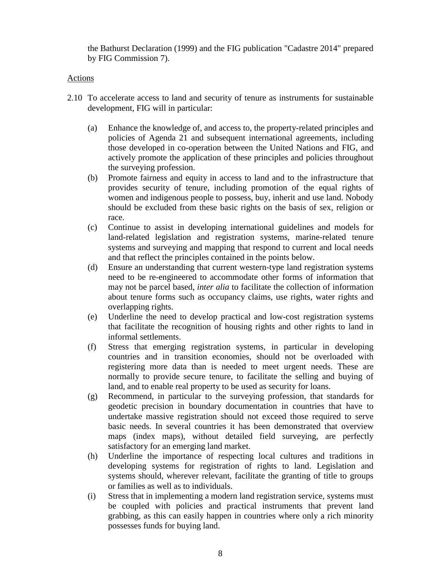the Bathurst Declaration (1999) and the FIG publication "Cadastre 2014" prepared by FIG Commission 7).

#### Actions

- 2.10 To accelerate access to land and security of tenure as instruments for sustainable development, FIG will in particular:
	- (a) Enhance the knowledge of, and access to, the property-related principles and policies of Agenda 21 and subsequent international agreements, including those developed in co-operation between the United Nations and FIG, and actively promote the application of these principles and policies throughout the surveying profession.
	- (b) Promote fairness and equity in access to land and to the infrastructure that provides security of tenure, including promotion of the equal rights of women and indigenous people to possess, buy, inherit and use land. Nobody should be excluded from these basic rights on the basis of sex, religion or race.
	- (c) Continue to assist in developing international guidelines and models for land-related legislation and registration systems, marine-related tenure systems and surveying and mapping that respond to current and local needs and that reflect the principles contained in the points below.
	- (d) Ensure an understanding that current western-type land registration systems need to be re-engineered to accommodate other forms of information that may not be parcel based, *inter alia* to facilitate the collection of information about tenure forms such as occupancy claims, use rights, water rights and overlapping rights.
	- (e) Underline the need to develop practical and low-cost registration systems that facilitate the recognition of housing rights and other rights to land in informal settlements.
	- (f) Stress that emerging registration systems, in particular in developing countries and in transition economies, should not be overloaded with registering more data than is needed to meet urgent needs. These are normally to provide secure tenure, to facilitate the selling and buying of land, and to enable real property to be used as security for loans.
	- (g) Recommend, in particular to the surveying profession, that standards for geodetic precision in boundary documentation in countries that have to undertake massive registration should not exceed those required to serve basic needs. In several countries it has been demonstrated that overview maps (index maps), without detailed field surveying, are perfectly satisfactory for an emerging land market.
	- (h) Underline the importance of respecting local cultures and traditions in developing systems for registration of rights to land. Legislation and systems should, wherever relevant, facilitate the granting of title to groups or families as well as to individuals.
	- (i) Stress that in implementing a modern land registration service, systems must be coupled with policies and practical instruments that prevent land grabbing, as this can easily happen in countries where only a rich minority possesses funds for buying land.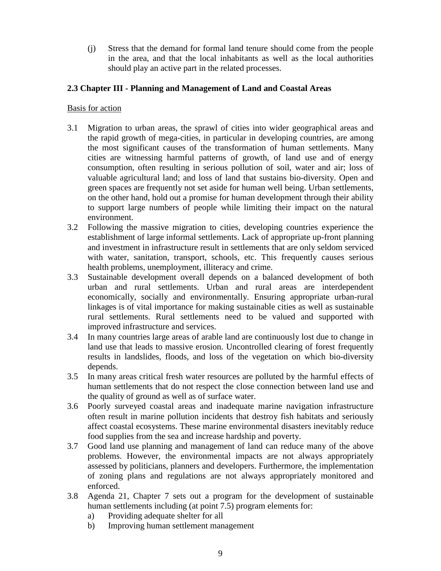(j) Stress that the demand for formal land tenure should come from the people in the area, and that the local inhabitants as well as the local authorities should play an active part in the related processes.

### **2.3 Chapter III - Planning and Management of Land and Coastal Areas**

- 3.1 Migration to urban areas, the sprawl of cities into wider geographical areas and the rapid growth of mega-cities, in particular in developing countries, are among the most significant causes of the transformation of human settlements. Many cities are witnessing harmful patterns of growth, of land use and of energy consumption, often resulting in serious pollution of soil, water and air; loss of valuable agricultural land; and loss of land that sustains bio-diversity. Open and green spaces are frequently not set aside for human well being. Urban settlements, on the other hand, hold out a promise for human development through their ability to support large numbers of people while limiting their impact on the natural environment.
- 3.2 Following the massive migration to cities, developing countries experience the establishment of large informal settlements. Lack of appropriate up-front planning and investment in infrastructure result in settlements that are only seldom serviced with water, sanitation, transport, schools, etc. This frequently causes serious health problems, unemployment, illiteracy and crime.
- 3.3 Sustainable development overall depends on a balanced development of both urban and rural settlements. Urban and rural areas are interdependent economically, socially and environmentally. Ensuring appropriate urban-rural linkages is of vital importance for making sustainable cities as well as sustainable rural settlements. Rural settlements need to be valued and supported with improved infrastructure and services.
- 3.4 In many countries large areas of arable land are continuously lost due to change in land use that leads to massive erosion. Uncontrolled clearing of forest frequently results in landslides, floods, and loss of the vegetation on which bio-diversity depends.
- 3.5 In many areas critical fresh water resources are polluted by the harmful effects of human settlements that do not respect the close connection between land use and the quality of ground as well as of surface water.
- 3.6 Poorly surveyed coastal areas and inadequate marine navigation infrastructure often result in marine pollution incidents that destroy fish habitats and seriously affect coastal ecosystems. These marine environmental disasters inevitably reduce food supplies from the sea and increase hardship and poverty.
- 3.7 Good land use planning and management of land can reduce many of the above problems. However, the environmental impacts are not always appropriately assessed by politicians, planners and developers. Furthermore, the implementation of zoning plans and regulations are not always appropriately monitored and enforced.
- 3.8 Agenda 21, Chapter 7 sets out a program for the development of sustainable human settlements including (at point 7.5) program elements for:
	- a) Providing adequate shelter for all
	- b) Improving human settlement management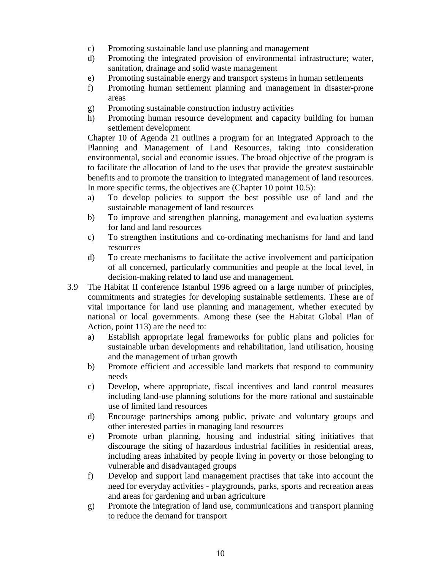- c) Promoting sustainable land use planning and management
- d) Promoting the integrated provision of environmental infrastructure; water, sanitation, drainage and solid waste management
- e) Promoting sustainable energy and transport systems in human settlements
- f) Promoting human settlement planning and management in disaster-prone areas
- g) Promoting sustainable construction industry activities
- h) Promoting human resource development and capacity building for human settlement development

Chapter 10 of Agenda 21 outlines a program for an Integrated Approach to the Planning and Management of Land Resources, taking into consideration environmental, social and economic issues. The broad objective of the program is to facilitate the allocation of land to the uses that provide the greatest sustainable benefits and to promote the transition to integrated management of land resources. In more specific terms, the objectives are (Chapter 10 point 10.5):

- a) To develop policies to support the best possible use of land and the sustainable management of land resources
- b) To improve and strengthen planning, management and evaluation systems for land and land resources
- c) To strengthen institutions and co-ordinating mechanisms for land and land resources
- d) To create mechanisms to facilitate the active involvement and participation of all concerned, particularly communities and people at the local level, in decision-making related to land use and management.
- 3.9 The Habitat II conference Istanbul 1996 agreed on a large number of principles, commitments and strategies for developing sustainable settlements. These are of vital importance for land use planning and management, whether executed by national or local governments. Among these (see the Habitat Global Plan of Action, point 113) are the need to:
	- a) Establish appropriate legal frameworks for public plans and policies for sustainable urban developments and rehabilitation, land utilisation, housing and the management of urban growth
	- b) Promote efficient and accessible land markets that respond to community needs
	- c) Develop, where appropriate, fiscal incentives and land control measures including land-use planning solutions for the more rational and sustainable use of limited land resources
	- d) Encourage partnerships among public, private and voluntary groups and other interested parties in managing land resources
	- e) Promote urban planning, housing and industrial siting initiatives that discourage the siting of hazardous industrial facilities in residential areas, including areas inhabited by people living in poverty or those belonging to vulnerable and disadvantaged groups
	- f) Develop and support land management practises that take into account the need for everyday activities - playgrounds, parks, sports and recreation areas and areas for gardening and urban agriculture
	- g) Promote the integration of land use, communications and transport planning to reduce the demand for transport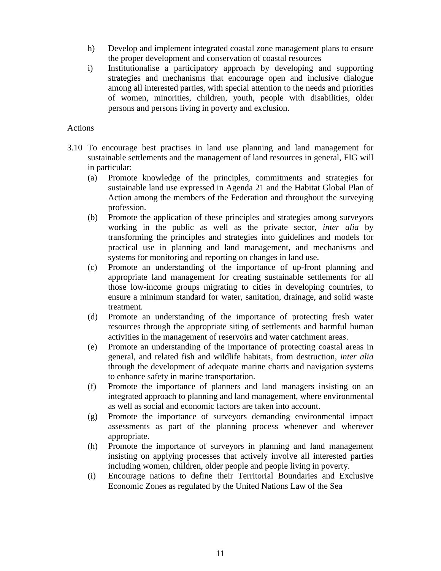- h) Develop and implement integrated coastal zone management plans to ensure the proper development and conservation of coastal resources
- i) Institutionalise a participatory approach by developing and supporting strategies and mechanisms that encourage open and inclusive dialogue among all interested parties, with special attention to the needs and priorities of women, minorities, children, youth, people with disabilities, older persons and persons living in poverty and exclusion.

#### Actions

- 3.10 To encourage best practises in land use planning and land management for sustainable settlements and the management of land resources in general, FIG will in particular:
	- (a) Promote knowledge of the principles, commitments and strategies for sustainable land use expressed in Agenda 21 and the Habitat Global Plan of Action among the members of the Federation and throughout the surveying profession.
	- (b) Promote the application of these principles and strategies among surveyors working in the public as well as the private sector, *inter alia* by transforming the principles and strategies into guidelines and models for practical use in planning and land management, and mechanisms and systems for monitoring and reporting on changes in land use.
	- (c) Promote an understanding of the importance of up-front planning and appropriate land management for creating sustainable settlements for all those low-income groups migrating to cities in developing countries, to ensure a minimum standard for water, sanitation, drainage, and solid waste treatment.
	- (d) Promote an understanding of the importance of protecting fresh water resources through the appropriate siting of settlements and harmful human activities in the management of reservoirs and water catchment areas.
	- (e) Promote an understanding of the importance of protecting coastal areas in general, and related fish and wildlife habitats, from destruction, *inter alia* through the development of adequate marine charts and navigation systems to enhance safety in marine transportation.
	- (f) Promote the importance of planners and land managers insisting on an integrated approach to planning and land management, where environmental as well as social and economic factors are taken into account.
	- (g) Promote the importance of surveyors demanding environmental impact assessments as part of the planning process whenever and wherever appropriate.
	- (h) Promote the importance of surveyors in planning and land management insisting on applying processes that actively involve all interested parties including women, children, older people and people living in poverty.
	- (i) Encourage nations to define their Territorial Boundaries and Exclusive Economic Zones as regulated by the United Nations Law of the Sea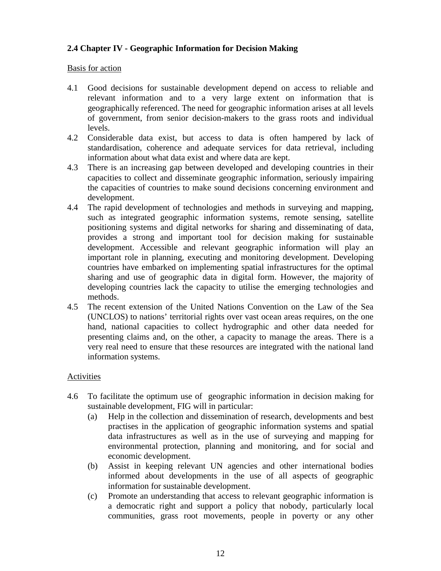## **2.4 Chapter IV - Geographic Information for Decision Making**

#### Basis for action

- 4.1 Good decisions for sustainable development depend on access to reliable and relevant information and to a very large extent on information that is geographically referenced. The need for geographic information arises at all levels of government, from senior decision-makers to the grass roots and individual levels.
- 4.2 Considerable data exist, but access to data is often hampered by lack of standardisation, coherence and adequate services for data retrieval, including information about what data exist and where data are kept.
- 4.3 There is an increasing gap between developed and developing countries in their capacities to collect and disseminate geographic information, seriously impairing the capacities of countries to make sound decisions concerning environment and development.
- 4.4 The rapid development of technologies and methods in surveying and mapping, such as integrated geographic information systems, remote sensing, satellite positioning systems and digital networks for sharing and disseminating of data, provides a strong and important tool for decision making for sustainable development. Accessible and relevant geographic information will play an important role in planning, executing and monitoring development. Developing countries have embarked on implementing spatial infrastructures for the optimal sharing and use of geographic data in digital form. However, the majority of developing countries lack the capacity to utilise the emerging technologies and methods.
- 4.5 The recent extension of the United Nations Convention on the Law of the Sea (UNCLOS) to nations' territorial rights over vast ocean areas requires, on the one hand, national capacities to collect hydrographic and other data needed for presenting claims and, on the other, a capacity to manage the areas. There is a very real need to ensure that these resources are integrated with the national land information systems.

### Activities

- 4.6 To facilitate the optimum use of geographic information in decision making for sustainable development, FIG will in particular:
	- (a) Help in the collection and dissemination of research, developments and best practises in the application of geographic information systems and spatial data infrastructures as well as in the use of surveying and mapping for environmental protection, planning and monitoring, and for social and economic development.
	- (b) Assist in keeping relevant UN agencies and other international bodies informed about developments in the use of all aspects of geographic information for sustainable development.
	- (c) Promote an understanding that access to relevant geographic information is a democratic right and support a policy that nobody, particularly local communities, grass root movements, people in poverty or any other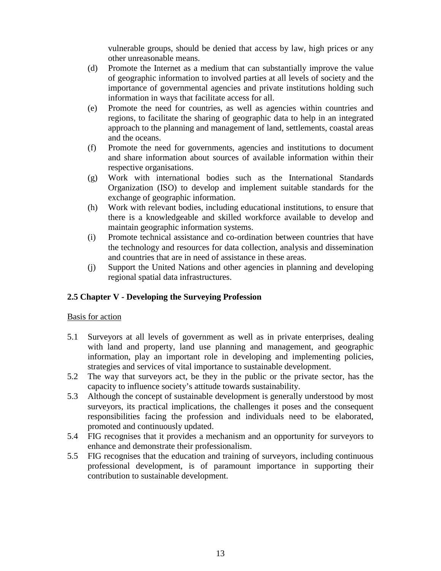vulnerable groups, should be denied that access by law, high prices or any other unreasonable means.

- (d) Promote the Internet as a medium that can substantially improve the value of geographic information to involved parties at all levels of society and the importance of governmental agencies and private institutions holding such information in ways that facilitate access for all.
- (e) Promote the need for countries, as well as agencies within countries and regions, to facilitate the sharing of geographic data to help in an integrated approach to the planning and management of land, settlements, coastal areas and the oceans.
- (f) Promote the need for governments, agencies and institutions to document and share information about sources of available information within their respective organisations.
- (g) Work with international bodies such as the International Standards Organization (ISO) to develop and implement suitable standards for the exchange of geographic information.
- (h) Work with relevant bodies, including educational institutions, to ensure that there is a knowledgeable and skilled workforce available to develop and maintain geographic information systems.
- (i) Promote technical assistance and co-ordination between countries that have the technology and resources for data collection, analysis and dissemination and countries that are in need of assistance in these areas.
- (j) Support the United Nations and other agencies in planning and developing regional spatial data infrastructures.

### **2.5 Chapter V - Developing the Surveying Profession**

- 5.1 Surveyors at all levels of government as well as in private enterprises, dealing with land and property, land use planning and management, and geographic information, play an important role in developing and implementing policies, strategies and services of vital importance to sustainable development.
- 5.2 The way that surveyors act, be they in the public or the private sector, has the capacity to influence society's attitude towards sustainability.
- 5.3 Although the concept of sustainable development is generally understood by most surveyors, its practical implications, the challenges it poses and the consequent responsibilities facing the profession and individuals need to be elaborated, promoted and continuously updated.
- 5.4 FIG recognises that it provides a mechanism and an opportunity for surveyors to enhance and demonstrate their professionalism.
- 5.5 FIG recognises that the education and training of surveyors, including continuous professional development, is of paramount importance in supporting their contribution to sustainable development.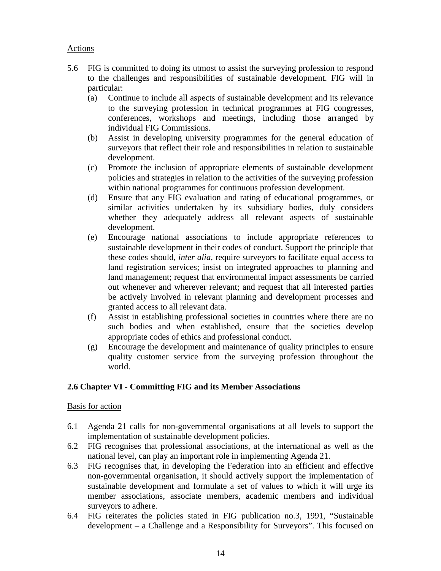## Actions

- 5.6 FIG is committed to doing its utmost to assist the surveying profession to respond to the challenges and responsibilities of sustainable development. FIG will in particular:
	- (a) Continue to include all aspects of sustainable development and its relevance to the surveying profession in technical programmes at FIG congresses, conferences, workshops and meetings, including those arranged by individual FIG Commissions.
	- (b) Assist in developing university programmes for the general education of surveyors that reflect their role and responsibilities in relation to sustainable development.
	- (c) Promote the inclusion of appropriate elements of sustainable development policies and strategies in relation to the activities of the surveying profession within national programmes for continuous profession development.
	- (d) Ensure that any FIG evaluation and rating of educational programmes, or similar activities undertaken by its subsidiary bodies, duly considers whether they adequately address all relevant aspects of sustainable development.
	- (e) Encourage national associations to include appropriate references to sustainable development in their codes of conduct. Support the principle that these codes should*, inter alia,* require surveyors to facilitate equal access to land registration services; insist on integrated approaches to planning and land management; request that environmental impact assessments be carried out whenever and wherever relevant; and request that all interested parties be actively involved in relevant planning and development processes and granted access to all relevant data.
	- (f) Assist in establishing professional societies in countries where there are no such bodies and when established, ensure that the societies develop appropriate codes of ethics and professional conduct.
	- (g) Encourage the development and maintenance of quality principles to ensure quality customer service from the surveying profession throughout the world.

# **2.6 Chapter VI - Committing FIG and its Member Associations**

- 6.1 Agenda 21 calls for non-governmental organisations at all levels to support the implementation of sustainable development policies.
- 6.2 FIG recognises that professional associations, at the international as well as the national level, can play an important role in implementing Agenda 21.
- 6.3 FIG recognises that, in developing the Federation into an efficient and effective non-governmental organisation, it should actively support the implementation of sustainable development and formulate a set of values to which it will urge its member associations, associate members, academic members and individual surveyors to adhere.
- 6.4 FIG reiterates the policies stated in FIG publication no.3, 1991, "Sustainable development – a Challenge and a Responsibility for Surveyors". This focused on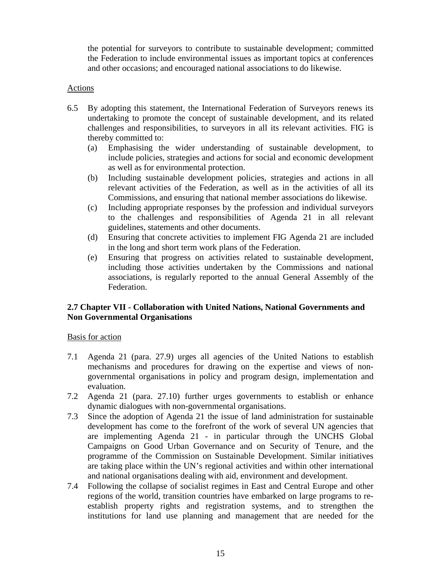the potential for surveyors to contribute to sustainable development; committed the Federation to include environmental issues as important topics at conferences and other occasions; and encouraged national associations to do likewise.

### Actions

- 6.5 By adopting this statement, the International Federation of Surveyors renews its undertaking to promote the concept of sustainable development, and its related challenges and responsibilities, to surveyors in all its relevant activities. FIG is thereby committed to:
	- (a) Emphasising the wider understanding of sustainable development, to include policies, strategies and actions for social and economic development as well as for environmental protection.
	- (b) Including sustainable development policies, strategies and actions in all relevant activities of the Federation, as well as in the activities of all its Commissions, and ensuring that national member associations do likewise.
	- (c) Including appropriate responses by the profession and individual surveyors to the challenges and responsibilities of Agenda 21 in all relevant guidelines, statements and other documents.
	- (d) Ensuring that concrete activities to implement FIG Agenda 21 are included in the long and short term work plans of the Federation.
	- (e) Ensuring that progress on activities related to sustainable development, including those activities undertaken by the Commissions and national associations, is regularly reported to the annual General Assembly of the Federation.

## **2.7 Chapter VII - Collaboration with United Nations, National Governments and Non Governmental Organisations**

- 7.1 Agenda 21 (para. 27.9) urges all agencies of the United Nations to establish mechanisms and procedures for drawing on the expertise and views of nongovernmental organisations in policy and program design, implementation and evaluation.
- 7.2 Agenda 21 (para. 27.10) further urges governments to establish or enhance dynamic dialogues with non-governmental organisations.
- 7.3 Since the adoption of Agenda 21 the issue of land administration for sustainable development has come to the forefront of the work of several UN agencies that are implementing Agenda 21 - in particular through the UNCHS Global Campaigns on Good Urban Governance and on Security of Tenure, and the programme of the Commission on Sustainable Development. Similar initiatives are taking place within the UN's regional activities and within other international and national organisations dealing with aid, environment and development.
- 7.4 Following the collapse of socialist regimes in East and Central Europe and other regions of the world, transition countries have embarked on large programs to reestablish property rights and registration systems, and to strengthen the institutions for land use planning and management that are needed for the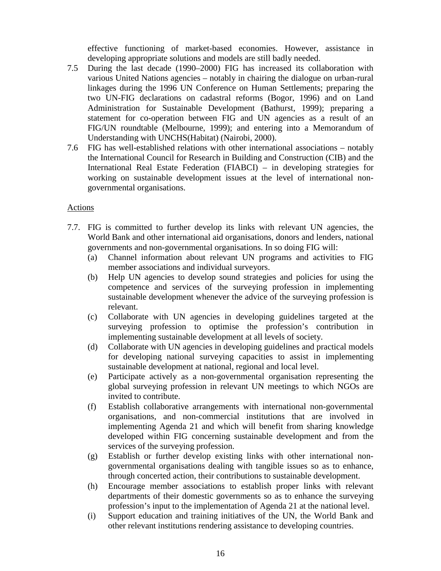effective functioning of market-based economies. However, assistance in developing appropriate solutions and models are still badly needed.

- 7.5 During the last decade (1990–2000) FIG has increased its collaboration with various United Nations agencies – notably in chairing the dialogue on urban-rural linkages during the 1996 UN Conference on Human Settlements; preparing the two UN-FIG declarations on cadastral reforms (Bogor, 1996) and on Land Administration for Sustainable Development (Bathurst, 1999); preparing a statement for co-operation between FIG and UN agencies as a result of an FIG/UN roundtable (Melbourne, 1999); and entering into a Memorandum of Understanding with UNCHS(Habitat) (Nairobi, 2000).
- 7.6 FIG has well-established relations with other international associations notably the International Council for Research in Building and Construction (CIB) and the International Real Estate Federation (FIABCI) – in developing strategies for working on sustainable development issues at the level of international nongovernmental organisations.

### Actions

- 7.7. FIG is committed to further develop its links with relevant UN agencies, the World Bank and other international aid organisations, donors and lenders, national governments and non-governmental organisations. In so doing FIG will:
	- (a) Channel information about relevant UN programs and activities to FIG member associations and individual surveyors.
	- (b) Help UN agencies to develop sound strategies and policies for using the competence and services of the surveying profession in implementing sustainable development whenever the advice of the surveying profession is relevant.
	- (c) Collaborate with UN agencies in developing guidelines targeted at the surveying profession to optimise the profession's contribution in implementing sustainable development at all levels of society.
	- (d) Collaborate with UN agencies in developing guidelines and practical models for developing national surveying capacities to assist in implementing sustainable development at national, regional and local level.
	- (e) Participate actively as a non-governmental organisation representing the global surveying profession in relevant UN meetings to which NGOs are invited to contribute.
	- (f) Establish collaborative arrangements with international non-governmental organisations, and non-commercial institutions that are involved in implementing Agenda 21 and which will benefit from sharing knowledge developed within FIG concerning sustainable development and from the services of the surveying profession.
	- (g) Establish or further develop existing links with other international nongovernmental organisations dealing with tangible issues so as to enhance, through concerted action, their contributions to sustainable development.
	- (h) Encourage member associations to establish proper links with relevant departments of their domestic governments so as to enhance the surveying profession's input to the implementation of Agenda 21 at the national level.
	- (i) Support education and training initiatives of the UN, the World Bank and other relevant institutions rendering assistance to developing countries.